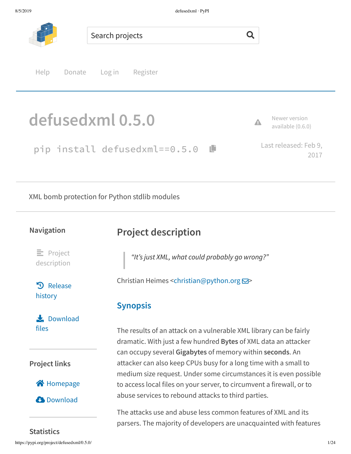

pip install defusedxml==0.5.0 ® Last released: Feb 9, 2017

XML bomb protection for Python stdlib modules

### **Navigation**

 $\equiv$  Project description

**3** Release history

 $\bigstar$  Download files

**Project links**



**C**b Download

# **Project description**

*"It's just XML, what could probably go wrong?"*

Christian Heimes <christian@python.org **⊠**>

## **Synopsis**

The results of an attack on a vulnerable XML library can be fairly dramatic. With just a few hundred **Bytes** of XML data an attacker can occupy several **Gigabytes** of memory within **seconds**. An attacker can also keep CPUs busy for a long time with a small to medium size request. Under some circumstances it is even possible to access local files on your server, to circumvent a firewall, or to abuse services to rebound attacks to third parties.

The attacks use and abuse less common features of XML and its parsers. The majority of developers are unacquainted with features

https://pypi.org/project/defusedxml/0.5.0/ 1/24 **Statistics**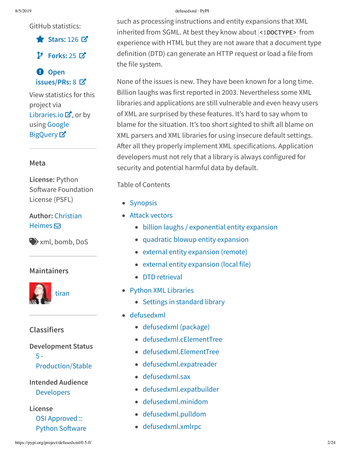GitHub statistics:

ɕ **Stars:** 126 æ

**Forks:** 25 æ

á **Open issues/PRs:** 8 æ

View statistics for this project via Libraries.io  $\mathbf{Z}$ , or by using Google **BigQuery**<sub>¤</sub>

### **Meta**

**License:** Python Software Foundation License (PSFL)

**Author:** Christian Heimes  $\boxdot$ 

ɶxml, bomb, DoS

## **Maintainers**



## **Classifiers**

## **Development Status**

5 - Production/Stable

**Intended Audience** Developers

**License** OSI Approved :: **Python Software** 

#### 8/5/2019 defusedxml · PyPI

such as processing instructions and entity expansions that XML inherited from SGML. At best they know about <!DOCTYPE> from experience with HTML but they are not aware that a document type definition (DTD) can generate an HTTP request or load a file from the file system.

None of the issues is new. They have been known for a long time. Billion laughs was first reported in 2003. Nevertheless some XML libraries and applications are still vulnerable and even heavy users of XML are surprised by these features. It's hard to say whom to blame for the situation. It's too short sighted to shift all blame on XML parsers and XML libraries for using insecure default settings. After all they properly implement XML specifications. Application developers must not rely that a library is always configured for security and potential harmful data by default.

Table of Contents

- Synopsis
- Attack vectors
	- billion laughs / exponential entity expansion
	- quadratic blowup entity expansion
	- external entity expansion (remote)
	- external entity expansion (local file)
	- DTD retrieval
- Python XML Libraries
	- Settings in standard library
- defusedxml
	- defusedxml (package)
	- defusedxml.cElementTree
	- defusedxml.ElementTree
	- defusedxml.expatreader
	- defusedxml.sax
	- defusedxml.expatbuilder
	- defusedxml.minidom
	- defusedxml.pulldom
	- defusedxml.xmlrpc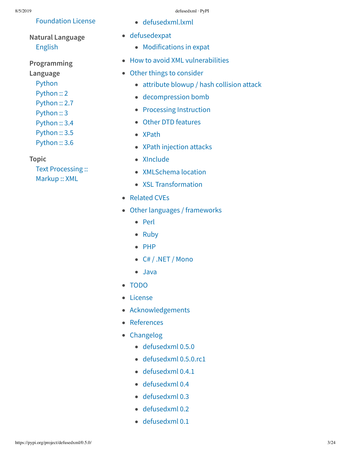## Foundation License

# **Natural Language** English

- **Programming Language**
	- Python
	- Python :: 2
	- Python :: 2.7
	- Python :: 3
	- Python :: 3.4
	- Python :: 3.5 Python :: 3.6
- **Topic**

Text Processing :: Markup :: XML

- defusedxml.lxml
- defusedexpat
	- Modifications in expat
- How to avoid XML vulnerabilities
- Other things to consider
	- attribute blowup / hash collision attack
	- decompression bomb
	- Processing Instruction
	- Other DTD features
	- XPath
	- XPath injection attacks
	- XInclude
	- XMLSchema location
	- XSL Transformation
- Related CVEs
- Other languages / frameworks
	- Perl
	- Ruby
	- $\bullet$  PHP
	- C# / .NET / Mono
	- Java
- TODO
- License
- Acknowledgements
- References
- Changelog
	- defusedxml 0.5.0
	- defusedxml 0.5.0.rc1
	- defusedxml 0.4.1
	- defusedxml 0.4
	- defusedxml 0.3
	- defusedxml 0.2
	- defusedxml 0.1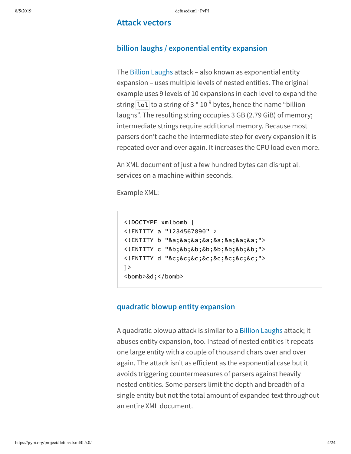### **Attack vectors**

## **billion laughs / exponential entity expansion**

The Billion Laughs attack – also known as exponential entity expansion – uses multiple levels of nested entities. The original example uses 9 levels of 10 expansions in each level to expand the string  $\overline{{\color{black} \text{lo1}}}$  to a string of 3  $^{\star}$  10  $^9$  bytes, hence the name "billion laughs". The resulting string occupies 3 GB (2.79 GiB) of memory; intermediate strings require additional memory. Because most parsers don't cache the intermediate step for every expansion it is repeated over and over again. It increases the CPU load even more.

An XML document of just a few hundred bytes can disrupt all services on a machine within seconds.

Example XML:

```
<!DOCTYPE xmlbomb [
<!ENTITY a "1234567890" >
<!ENTITY b "&a;&a;&a;&a;&a;&a;&a;&a;">
<!ENTITY c "&b;&b;&b;&b;&b;&b;&b;&b;">
<!ENTITY d "&c;&c;&c;&c;&c;&c;&c;&c;">
\geq<bomb>&d;</bomb>
```
## **quadratic blowup entity expansion**

A quadratic blowup attack is similar to a Billion Laughs attack; it abuses entity expansion, too. Instead of nested entities it repeats one large entity with a couple of thousand chars over and over again. The attack isn't as efficient as the exponential case but it avoids triggering countermeasures of parsers against heavily nested entities. Some parsers limit the depth and breadth of a single entity but not the total amount of expanded text throughout an entire XML document.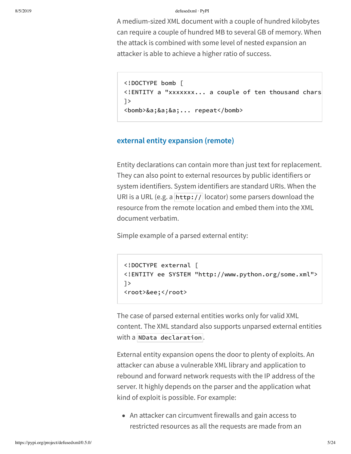A medium-sized XML document with a couple of hundred kilobytes can require a couple of hundred MB to several GB of memory. When the attack is combined with some level of nested expansion an attacker is able to achieve a higher ratio of success.

```
<!DOCTYPE bomb [
<!ENTITY a "xxxxxxx... a couple of ten thousand chars
]>
<bomb>&a;&a;&a;... repeat</bomb>
```
## **external entity expansion (remote)**

Entity declarations can contain more than just text for replacement. They can also point to external resources by public identifiers or system identifiers. System identifiers are standard URIs. When the URI is a URL (e.g. a  $\frac{h_t}{v}$  // locator) some parsers download the resource from the remote location and embed them into the XML document verbatim.

Simple example of a parsed external entity:

```
<!DOCTYPE external [
<!ENTITY ee SYSTEM "http://www.python.org/some.xml">
\left| \right\rangle<root>&ee;</root>
```
The case of parsed external entities works only for valid XML content. The XML standard also supports unparsed external entities with a NData declaration.

External entity expansion opens the door to plenty of exploits. An attacker can abuse a vulnerable XML library and application to rebound and forward network requests with the IP address of the server. It highly depends on the parser and the application what kind of exploit is possible. For example:

An attacker can circumvent firewalls and gain access to restricted resources as all the requests are made from an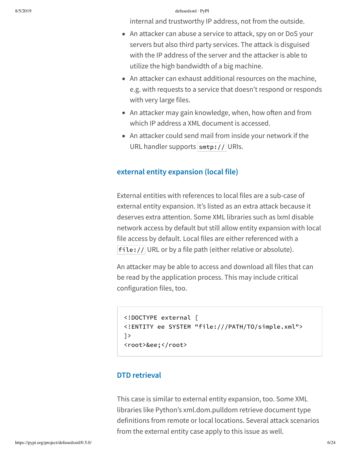internal and trustworthy IP address, not from the outside.

- An attacker can abuse a service to attack, spy on or DoS your servers but also third party services. The attack is disguised with the IP address of the server and the attacker is able to utilize the high bandwidth of a big machine.
- An attacker can exhaust additional resources on the machine, e.g. with requests to a service that doesn't respond or responds with very large files.
- $\bullet$  An attacker may gain knowledge, when, how often and from which IP address a XML document is accessed.
- An attacker could send mail from inside your network if the URL handler supports  $\frac{1}{1}$  smtp:// URIs.

### **external entity expansion (local file)**

External entities with references to local files are a sub-case of external entity expansion. It's listed as an extra attack because it deserves extra attention. Some XML libraries such as lxml disable network access by default but still allow entity expansion with local file access by default. Local files are either referenced with a file:// URL or by a file path (either relative or absolute).

An attacker may be able to access and download all files that can be read by the application process. This may include critical configuration files, too.

```
<!DOCTYPE external [
<!ENTITY ee SYSTEM "file:///PATH/TO/simple.xml">
]>
<root>&ee;</root>
```
## **DTD** retrieval

This case is similar to external entity expansion, too. Some XML libraries like Python's xml.dom.pulldom retrieve document type definitions from remote or local locations. Several attack scenarios from the external entity case apply to this issue as well.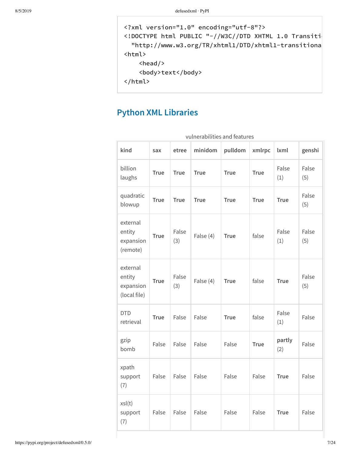```
<?xml version="1.0" encoding="utf-8"?>
<!DOCTYPE html PUBLIC "-//W3C//DTD XHTML 1.0 Transiti
 "http://www.w3.org/TR/xhtml1/DTD/xhtml1-transitiona
<html>
   <head/>
   <body>text</body>
</html>
```
# **Python XML Libraries**

| vulnerabilities and features                    |             |              |             |             |             |               |              |
|-------------------------------------------------|-------------|--------------|-------------|-------------|-------------|---------------|--------------|
| kind                                            | sax         | etree        | minidom     | pulldom     | xmlrpc      | <b>lxml</b>   | genshi       |
| billion<br>laughs                               | <b>True</b> | <b>True</b>  | <b>True</b> | <b>True</b> | <b>True</b> | False<br>(1)  | False<br>(5) |
| quadratic<br>blowup                             | <b>True</b> | <b>True</b>  | <b>True</b> | <b>True</b> | <b>True</b> | <b>True</b>   | False<br>(5) |
| external<br>entity<br>expansion<br>(remote)     | <b>True</b> | False<br>(3) | False (4)   | <b>True</b> | false       | False<br>(1)  | False<br>(5) |
| external<br>entity<br>expansion<br>(local file) | <b>True</b> | False<br>(3) | False (4)   | <b>True</b> | false       | <b>True</b>   | False<br>(5) |
| <b>DTD</b><br>retrieval                         | <b>True</b> | False        | False       | <b>True</b> | false       | False<br>(1)  | False        |
| gzip<br>bomb                                    | False       | False        | False       | False       | <b>True</b> | partly<br>(2) | False        |
| xpath<br>support<br>(7)                         | False       | False        | False       | False       | False       | <b>True</b>   | False        |
| xsl(t)<br>support<br>(7)                        | False       | False        | False       | False       | False       | <b>True</b>   | False        |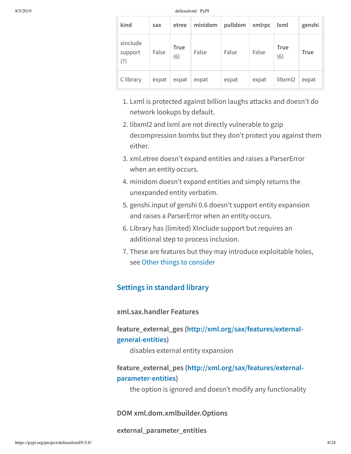| kind                       | sax   | etree              | minidom | pulldom | xmlrpc | lxml               | genshi      |
|----------------------------|-------|--------------------|---------|---------|--------|--------------------|-------------|
| xinclude<br>support<br>(7) | False | <b>True</b><br>(6) | False   | False   | False  | <b>True</b><br>(6) | <b>True</b> |
| C library                  | expat | expat              | expat   | expat   | expat  | libxml2            | expat       |

- 1. Lxml is protected against billion laughs attacks and doesn't do network lookups by default.
- 2. libxml2 and lxml are not directly vulnerable to gzip decompression bombs but they don't protect you against them either.
- 3. xml.etree doesn't expand entities and raises a ParserError when an entity occurs.
- 4. minidom doesn't expand entities and simply returns the unexpanded entity verbatim.
- 5. genshi.input of genshi 0.6 doesn't support entity expansion and raises a ParserError when an entity occurs.
- 6. Library has (limited) XInclude support but requires an additional step to process inclusion.
- 7. These are features but they may introduce exploitable holes, see Other things to consider

## **Settings in standard library**

**xml.sax.handler Features**

**feature\_external\_ges (http://xml.org/sax/features/externalgeneral-entities)**

disables external entity expansion

## **feature\_external\_pes (http://xml.org/sax/features/externalparameter-entities)**

the option is ignored and doesn't modify any functionality

**DOM xml.dom.xmlbuilder.Options**

**external\_parameter\_entities**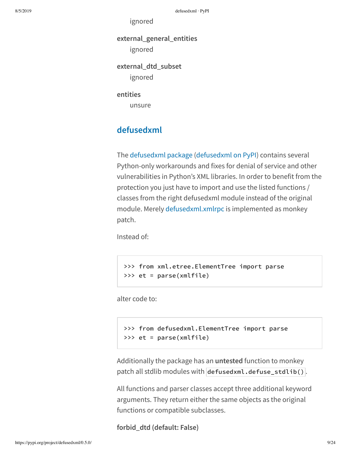ignored

**external\_general\_entities** ignored

**external\_dtd\_subset** ignored

**entities**

unsure

# **defusedxml**

The defusedxml package (defusedxml on PyPI) contains several Python-only workarounds and fixes for denial of service and other vulnerabilities in Python's XML libraries. In order to benefit from the protection you just have to import and use the listed functions / classes from the right defusedxml module instead of the original module. Merely defusedxml.xmlrpc is implemented as monkey patch.

Instead of:

>>> from xml.etree.ElementTree import parse >>> et = parse(xmlfile)

alter code to:

```
>>> from defusedxml.ElementTree import parse
>>> et = parse(xmlfile)
```
Additionally the package has an **untested** function to monkey patch all stdlib modules with defusedxml.defuse\_stdlib() .

All functions and parser classes accept three additional keyword arguments. They return either the same objects as the original functions or compatible subclasses.

**forbid\_dtd (default: False)**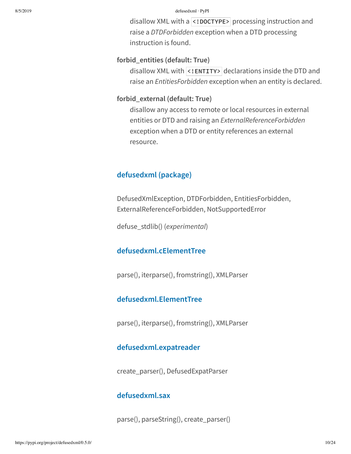disallow XML with a <! DOCTYPE> processing instruction and raise a *DTDForbidden* exception when a DTD processing instruction is found.

### **forbid\_entities (default: True)**

disallow XML with <! ENTITY> declarations inside the DTD and raise an *EntitiesForbidden* exception when an entity is declared.

### **forbid\_external (default: True)**

disallow any access to remote or local resources in external entities or DTD and raising an *ExternalReferenceForbidden* exception when a DTD or entity references an external resource.

## **defusedxml (package)**

DefusedXmlException, DTDForbidden, EntitiesForbidden, ExternalReferenceForbidden, NotSupportedError

defuse\_stdlib() (*experimental*)

## **defusedxml.cElementTree**

parse(), iterparse(), fromstring(), XMLParser

## **defusedxml.ElementTree**

parse(), iterparse(), fromstring(), XMLParser

## **defusedxml.expatreader**

create\_parser(), DefusedExpatParser

## **defusedxml.sax**

parse(), parseString(), create\_parser()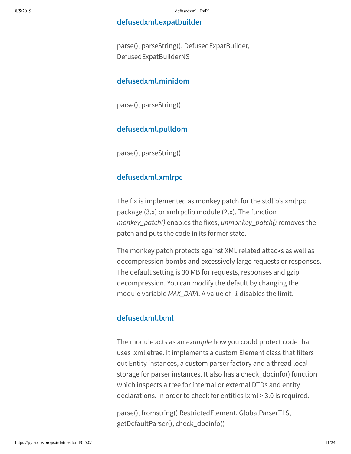### **defusedxml.expatbuilder**

parse(), parseString(), DefusedExpatBuilder, DefusedExpatBuilderNS

## **defusedxml.minidom**

parse(), parseString()

### **defusedxml.pulldom**

parse(), parseString()

## **defusedxml.xmlrpc**

The fix is implemented as monkey patch for the stdlib's xmlrpc package (3.x) or xmlrpclib module (2.x). The function *monkey\_patch()* enables the fixes, *unmonkey\_patch()* removes the patch and puts the code in its former state.

The monkey patch protects against XML related attacks as well as decompression bombs and excessively large requests or responses. The default setting is 30 MB for requests, responses and gzip decompression. You can modify the default by changing the module variable *MAX\_DATA*. A value of *-1* disables the limit.

## **defusedxml.lxml**

The module acts as an *example* how you could protect code that uses lxml.etree. It implements a custom Element class that filters out Entity instances, a custom parser factory and a thread local storage for parser instances. It also has a check\_docinfo() function which inspects a tree for internal or external DTDs and entity declarations. In order to check for entities lxml > 3.0 is required.

parse(), fromstring() RestrictedElement, GlobalParserTLS, getDefaultParser(), check\_docinfo()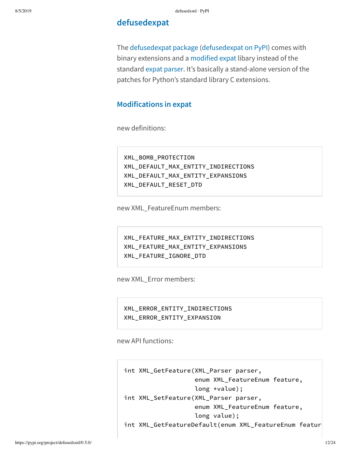## **defusedexpat**

The defusedexpat package (defusedexpat on PyPI) comes with binary extensions and a modified expat libary instead of the standard expat parser. It's basically a stand-alone version of the patches for Python's standard library C extensions.

## **Modifications in expat**

new definitions:

XML\_BOMB\_PROTECTION XML\_DEFAULT\_MAX\_ENTITY\_INDIRECTIONS XML\_DEFAULT\_MAX\_ENTITY\_EXPANSIONS XML\_DEFAULT\_RESET\_DTD

new XML\_FeatureEnum members:

XML\_FEATURE\_MAX\_ENTITY\_INDIRECTIONS XML\_FEATURE\_MAX\_ENTITY\_EXPANSIONS XML\_FEATURE\_IGNORE\_DTD

new XML\_Error members:

XML\_ERROR\_ENTITY\_INDIRECTIONS XML\_ERROR\_ENTITY\_EXPANSION

new API functions:

int XML\_GetFeature(XML\_Parser parser, enum XML\_FeatureEnum feature, long \*value); int XML\_SetFeature(XML\_Parser parser, enum XML\_FeatureEnum feature, long value); int XML\_GetFeatureDefault(enum XML\_FeatureEnum featur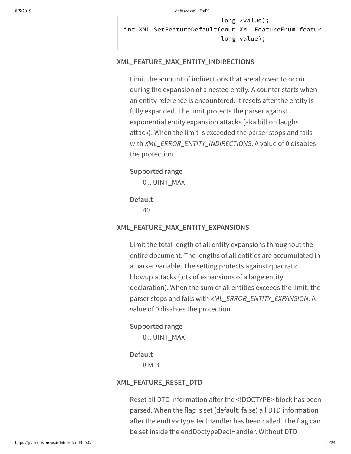long \*value); int XML SetFeatureDefault(enum XML FeatureEnum featur long value);

### **XML\_FEATURE\_MAX\_ENTITY\_INDIRECTIONS**

Limit the amount of indirections that are allowed to occur during the expansion of a nested entity. A counter starts when an entity reference is encountered. It resets after the entity is fully expanded. The limit protects the parser against exponential entity expansion attacks (aka billion laughs attack). When the limit is exceeded the parser stops and fails with *XML\_ERROR\_ENTITY\_INDIRECTIONS*. A value of 0 disables the protection.

### **Supported range**

0 .. UINT\_MAX

### **Default**

40

### **XML\_FEATURE\_MAX\_ENTITY\_EXPANSIONS**

Limit the total length of all entity expansions throughout the entire document. The lengths of all entities are accumulated in a parser variable. The setting protects against quadratic blowup attacks (lots of expansions of a large entity declaration). When the sum of all entities exceeds the limit, the parser stops and fails with *XML\_ERROR\_ENTITY\_EXPANSION*. A value of 0 disables the protection.

#### **Supported range**

0 .. UINT\_MAX

### **Default**

8 MiB

### **XML\_FEATURE\_RESET\_DTD**

Reset all DTD information after the <!DOCTYPE> block has been parsed. When the flag is set (default: false) all DTD information after the endDoctypeDeclHandler has been called. The flag can be set inside the endDoctypeDeclHandler. Without DTD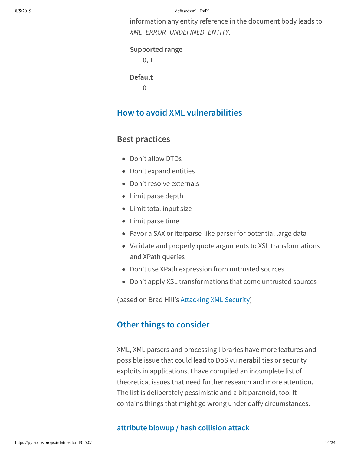information any entity reference in the document body leads to *XML\_ERROR\_UNDEFINED\_ENTITY*.

**Supported range**

0, 1

**Default**

 $\Omega$ 

# **How to avoid XML vulnerabilities**

# **Best practices**

- Don't allow DTDs
- Don't expand entities
- Don't resolve externals
- Limit parse depth
- Limit total input size
- Limit parse time
- Favor a SAX or iterparse-like parser for potential large data
- Validate and properly quote arguments to XSL transformations and XPath queries
- Don't use XPath expression from untrusted sources
- Don't apply XSL transformations that come untrusted sources

(based on Brad Hill's Attacking XML Security)

# **Other things to consider**

XML, XML parsers and processing libraries have more features and possible issue that could lead to DoS vulnerabilities or security exploits in applications. I have compiled an incomplete list of theoretical issues that need further research and more attention. The list is deliberately pessimistic and a bit paranoid, too. It contains things that might go wrong under daffy circumstances.

## **attribute blowup / hash collision attack**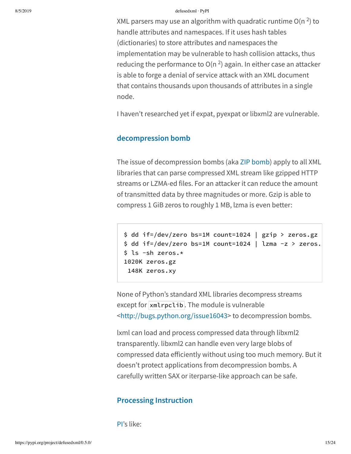XML parsers may use an algorithm with quadratic runtime O(n  $^2$ ) to handle attributes and namespaces. If it uses hash tables (dictionaries) to store attributes and namespaces the implementation may be vulnerable to hash collision attacks, thus reducing the performance to O(n <sup>2</sup>) again. In either case an attacker is able to forge a denial of service attack with an XML document that contains thousands upon thousands of attributes in a single node.

I haven't researched yet if expat, pyexpat or libxml2 are vulnerable.

### **decompression bomb**

The issue of decompression bombs (aka ZIP bomb) apply to all XML libraries that can parse compressed XML stream like gzipped HTTP streams or LZMA-ed files. For an attacker it can reduce the amount of transmitted data by three magnitudes or more. Gzip is able to compress 1 GiB zeros to roughly 1 MB, lzma is even better:

```
$ dd if=/dev/zero bs=1M count=1024 | gzip > zeros.gz
$ dd if=(dev/zero bs=1M count=1024 | lzma-z > zeros.$ ls -sh zeros.*
1020K zeros.gz
 148K zeros.xy
```
None of Python's standard XML libraries decompress streams except for  $xm$  rpclib. The module is vulnerable <http://bugs.python.org/issue16043> to decompression bombs.

lxml can load and process compressed data through libxml2 transparently. libxml2 can handle even very large blobs of compressed data efficiently without using too much memory. But it doesn't protect applications from decompression bombs. A carefully written SAX or iterparse-like approach can be safe.

### **Processing Instruction**

PI's like: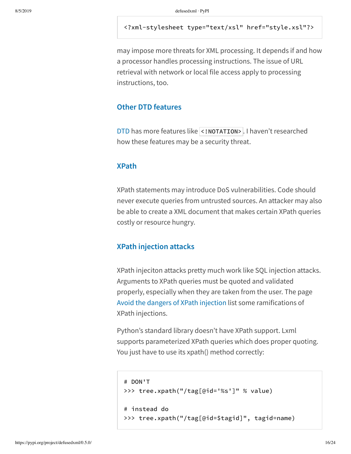### <?xml-stylesheet type="text/xsl" href="style.xsl"?>

may impose more threats for XML processing. It depends if and how a processor handles processing instructions. The issue of URL retrieval with network or local file access apply to processing instructions, too.

### **Other DTD features**

DTD has more features like <! NOTATION>. I haven't researched how these features may be a security threat.

### **XPath**

XPath statements may introduce DoS vulnerabilities. Code should never execute queries from untrusted sources. An attacker may also be able to create a XML document that makes certain XPath queries costly or resource hungry.

### **XPath injection attacks**

XPath injeciton attacks pretty much work like SQL injection attacks. Arguments to XPath queries must be quoted and validated properly, especially when they are taken from the user. The page Avoid the dangers of XPath injection list some ramifications of XPath injections.

Python's standard library doesn't have XPath support. Lxml supports parameterized XPath queries which does proper quoting. You just have to use its xpath() method correctly:

```
# DON'T
>>> tree.xpath("/tag[@id='%s']" % value)
# instead do
>>> tree.xpath("/tag[@id=$tagid]", tagid=name)
```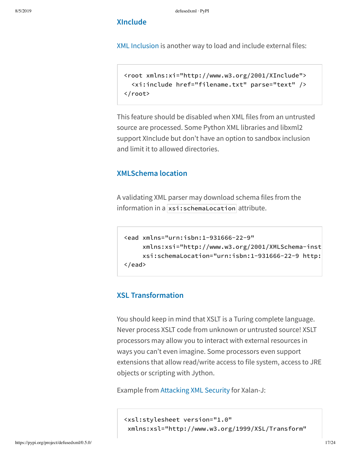### **XInclude**

XML Inclusion is another way to load and include external files:

```
<root xmlns:xi="http://www.w3.org/2001/XInclude">
  <xi:include href="filename.txt" parse="text" />
</root>
```
This feature should be disabled when XML files from an untrusted source are processed. Some Python XML libraries and libxml2 support XInclude but don't have an option to sandbox inclusion and limit it to allowed directories.

## **XMLSchema location**

A validating XML parser may download schema files from the information in a  $xsi:$  schemaLocation attribute.

```
<ead xmlns="urn:isbn:1-931666-22-9"
     xmlns:xsi="http://www.w3.org/2001/XMLSchema-inst
    xsi:schemaLocation="urn:isbn:1-931666-22-9 http:
</ead>
```
## **XSL Transformation**

You should keep in mind that XSLT is a Turing complete language. Never process XSLT code from unknown or untrusted source! XSLT processors may allow you to interact with external resources in ways you can't even imagine. Some processors even support extensions that allow read/write access to file system, access to JRE objects or scripting with Jython.

Example from Attacking XML Security for Xalan-J:

<xsl:stylesheet version="1.0" xmlns:xsl="http://www.w3.org/1999/XSL/Transform"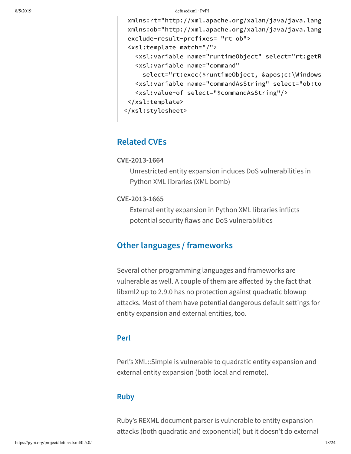```
xmlns:rt="http://xml.apache.org/xalan/java/java.lang
xmlns:ob="http://xml.apache.org/xalan/java/java.lang
exclude-result-prefixes= "rt ob">
<xsl:template match="/">
   <xsl:variable name="runtimeObject" select="rt:getR
   <xsl:variable name="command"
    select="rt:exec($runtimeObject, 'c:\Windows
   <xsl:variable name="commandAsString" select="ob:toS
   <xsl:value-of select="$commandAsString"/>
</xsl:template>
</xsl:stylesheet>
```
# **Related CVEs**

### **CVE-2013-1664**

Unrestricted entity expansion induces DoS vulnerabilities in Python XML libraries (XML bomb)

### **CVE-2013-1665**

External entity expansion in Python XML libraries inflicts potential security flaws and DoS vulnerabilities

# **Other languages / frameworks**

Several other programming languages and frameworks are vulnerable as well. A couple of them are affected by the fact that libxml2 up to 2.9.0 has no protection against quadratic blowup attacks. Most of them have potential dangerous default settings for entity expansion and external entities, too.

## **Perl**

Perl's XML::Simple is vulnerable to quadratic entity expansion and external entity expansion (both local and remote).

## **Ruby**

Ruby's REXML document parser is vulnerable to entity expansion attacks (both quadratic and exponential) but it doesn't do external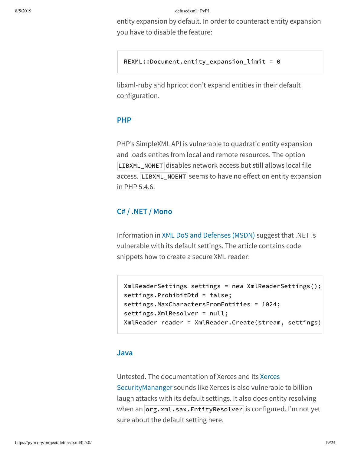entity expansion by default. In order to counteract entity expansion you have to disable the feature:

REXML::Document.entity\_expansion\_limit = 0

libxml-ruby and hpricot don't expand entities in their default configuration.

### **PHP**

PHP's SimpleXML API is vulnerable to quadratic entity expansion and loads entites from local and remote resources. The option LIBXML\_NONET disables network access but still allows local file access. LIBXML\_NOENT seems to have no effect on entity expansion in PHP 5.4.6.

## **C# / .NET / Mono**

Information in XML DoS and Defenses (MSDN) suggest that .NET is vulnerable with its default settings. The article contains code snippets how to create a secure XML reader:

```
XmlReaderSettings settings = new XmlReaderSettings();
settings.ProhibitDtd = false;
settings.MaxCharactersFromEntities = 1024;
settings.XmlResolver = null;
XmlReader reader = XmlReader.Create(stream, settings)
```
### **Java**

Untested. The documentation of Xerces and its Xerces SecurityMananger sounds like Xerces is also vulnerable to billion laugh attacks with its default settings. It also does entity resolving when an  $org.xml.sax.EntityResolver$  is configured. I'm not yet sure about the default setting here.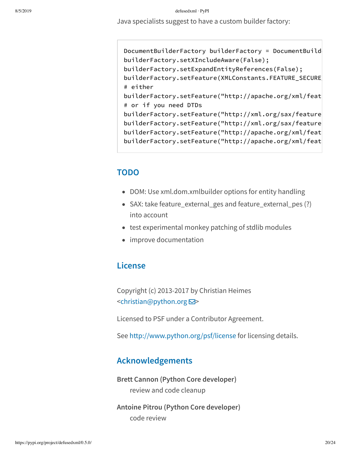Java specialists suggest to have a custom builder factory:

DocumentBuilderFactory builderFactory = DocumentBuild builderFactory.setXIncludeAware(False); builderFactory.setExpandEntityReferences(False); builderFactory.setFeature(XMLConstants.FEATURE\_SECURE\_ # either builderFactory.setFeature("http://apache.org/xml/feat # or if you need DTDs builderFactory.setFeature("http://xml.org/sax/feature builderFactory.setFeature("http://xml.org/sax/feature builderFactory.setFeature("http://apache.org/xml/feat builderFactory.setFeature("http://apache.org/xml/feat

# **TODO**

- DOM: Use xml.dom.xmlbuilder options for entity handling
- SAX: take feature\_external\_ges and feature\_external\_pes (?) into account
- test experimental monkey patching of stdlib modules
- improve documentation

# **License**

Copyright (c) 2013-2017 by Christian Heimes <christian@python.org **⊠**>

Licensed to PSF under a Contributor Agreement.

See http://www.python.org/psf/license for licensing details.

## **Acknowledgements**

**Brett Cannon (Python Core developer)** review and code cleanup

**Antoine Pitrou (Python Core developer)** code review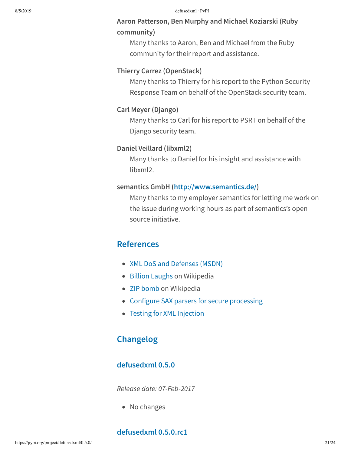## **Aaron Patterson, Ben Murphy and Michael Koziarski (Ruby community)**

Many thanks to Aaron, Ben and Michael from the Ruby community for their report and assistance.

### **Thierry Carrez (OpenStack)**

Many thanks to Thierry for his report to the Python Security Response Team on behalf of the OpenStack security team.

### **Carl Meyer (Django)**

Many thanks to Carl for his report to PSRT on behalf of the Django security team.

### **Daniel Veillard (libxml2)**

Many thanks to Daniel for his insight and assistance with libxml2.

### **semantics GmbH (http://www.semantics.de/)**

Many thanks to my employer semantics for letting me work on the issue during working hours as part of semantics's open source initiative.

# **References**

- XML DoS and Defenses (MSDN)
- Billion Laughs on Wikipedia
- ZIP bomb on Wikipedia
- Configure SAX parsers for secure processing
- Testing for XML Injection

# **Changelog**

## **defusedxml 0.5.0**

*Release date: 07-Feb-2017*

• No changes

### **defusedxml 0.5.0.rc1**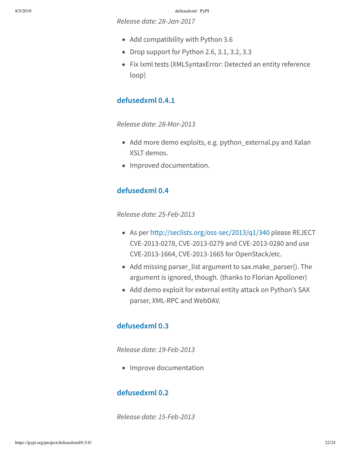*Release date: 28-Jan-2017*

- Add compatibility with Python 3.6
- Drop support for Python 2.6, 3.1, 3.2, 3.3
- Fix lxml tests (XMLSyntaxError: Detected an entity reference loop)

## **defusedxml 0.4.1**

*Release date: 28-Mar-2013*

- Add more demo exploits, e.g. python\_external.py and Xalan XSLT demos.
- Improved documentation.

## **defusedxml 0.4**

*Release date: 25-Feb-2013*

- As per http://seclists.org/oss-sec/2013/q1/340 please REJECT CVE-2013-0278, CVE-2013-0279 and CVE-2013-0280 and use CVE-2013-1664, CVE-2013-1665 for OpenStack/etc.
- Add missing parser\_list argument to sax.make\_parser(). The argument is ignored, though. (thanks to Florian Apolloner)
- Add demo exploit for external entity attack on Python's SAX parser, XML-RPC and WebDAV.

## **defusedxml 0.3**

*Release date: 19-Feb-2013*

• Improve documentation

## **defusedxml 0.2**

*Release date: 15-Feb-2013*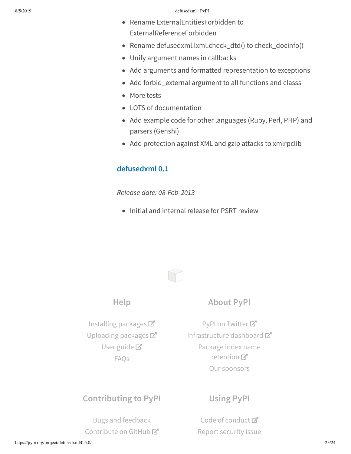- Rename ExternalEntitiesForbidden to ExternalReferenceForbidden
- Rename defusedxml.lxml.check\_dtd() to check\_docinfo()
- Unify argument names in callbacks
- Add arguments and formatted representation to exceptions
- Add forbid\_external argument to all functions and classs
- More tests
- LOTS of documentation
- Add example code for other languages (Ruby, Perl, PHP) and parsers (Genshi)
- Add protection against XML and gzip attacks to xmlrpclib

## **defusedxml 0.1**

*Release date: 08-Feb-2013*

• Initial and internal release for PSRT review



# **About PyPI**

Installing packages Uploading packages User guide<sup>T</sup> FAQs

**Help**

PyPI on Twitter<sup>7</sup> Infrastructure dashboard Package index name retention 口 Our sponsors

# **Contributing to PyPI**

Bugs and feedback Contribute on GitHub<sup>C</sup>

# **Using PyPI**

Code of conduct<sup>™</sup> Report security issue